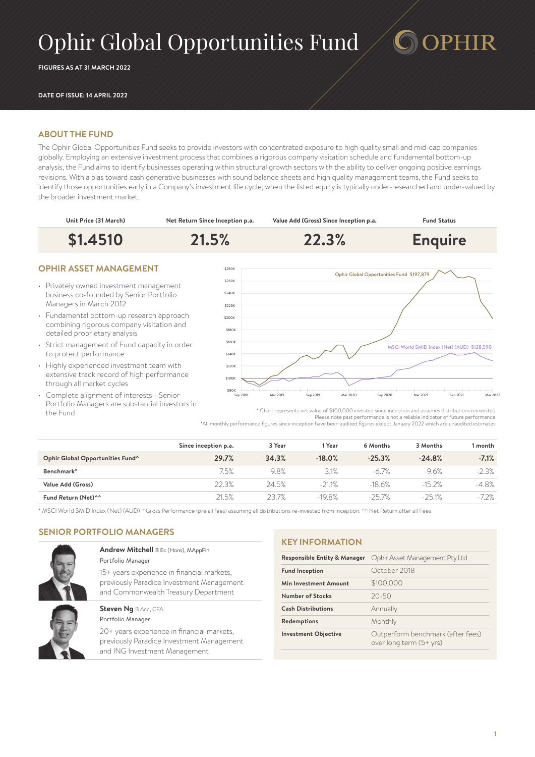# Ophir Global Opportunities Fund

**FIGURES AS AT 31 MARCH 2022**

#### **DATE OF ISSUE: 14 APRIL 2022**

# **ABOUT THE FUND**

The Ophir Global Opportunities Fund seeks to provide investors with concentrated exposure to high quality small and mid-cap companies globally. Employing an extensive investment process that combines a rigorous company visitation schedule and fundamental bottom-up analysis, the Fund aims to identify businesses operating within structural growth sectors with the ability to deliver ongoing positive earnings revisions. With a bias toward cash generative businesses with sound balance sheets and high quality management teams, the Fund seeks to identify those opportunities early in a Company's investment life cycle, when the listed equity is typically under-researched and under-valued by the broader investment market.



- Privately owned investment management business co-founded by Senior Portfolio Managers in March 2012
- Fundamental bottom-up research approach combining rigorous company visitation and detailed proprietary analysis
- Strict management of Fund capacity in order to protect performance
- Highly experienced investment team with extensive track record of high performance through all market cycles
- Complete alignment of interests Senior Portfolio Managers are substantial investors in the Fund



**PHIR** 

\* Chart represents net value of \$100,000 invested since inception and assumes distributions reinvested. Please note past performance is not a reliable indicator of future performance. \*All monthly performance figures since inception have been audited figures except January 2022 which are unaudited estimates.

|                                  | Since inception p.a. | 3 Year | Year     | 6 Months | 3 Months | l month |
|----------------------------------|----------------------|--------|----------|----------|----------|---------|
| Ophir Global Opportunities Fund^ | 29.7%                | 34.3%  | $-18.0%$ | $-25.3%$ | $-24.8%$ | $-7.1%$ |
| Benchmark*                       | 7.5%                 | 9.8%   | 3.1%     | $-6.7\%$ | -9.6%    | $-2.3%$ |
| Value Add (Gross)                | 22.3%                | 24.5%  | $-21.1%$ | $-18.6%$ | $-152%$  | $-4.8%$ |
| Fund Return (Net)^^              | 21.5%                | 23.7%  | $-19.8%$ | $-257%$  | $-251%$  | $-7.2%$ |

\* MSCI World SMID Index (Net) (AUD) ^Gross Performance (pre all fees) assuming all distributions re-invested from inception. ^^ Net Return after all Fees

# **SENIOR PORTFOLIO MANAGERS**



#### **Andrew Mitchell** B Ec (Hons), MAppFin Portfolio Manager

15+ years experience in financial markets, previously Paradice Investment Management and Commonwealth Treasury Department

**Steven Ng BAcc, CFA** Portfolio Manager

20+ years experience in financial markets, previously Paradice Investment Management and ING Investment Management

#### **KEY INFORMATION**

| <b>Responsible Entity &amp; Manager</b> | Ophir Asset Management Pty Ltd                               |  |  |
|-----------------------------------------|--------------------------------------------------------------|--|--|
| <b>Fund Inception</b>                   | October 2018                                                 |  |  |
| Min Investment Amount                   | \$100,000                                                    |  |  |
| Number of Stocks                        | $20 - 50$                                                    |  |  |
| <b>Cash Distributions</b>               | Annually                                                     |  |  |
| Redemptions                             | Monthly                                                      |  |  |
| <b>Investment Objective</b>             | Outperform benchmark (after fees)<br>over long term (5+ yrs) |  |  |
|                                         |                                                              |  |  |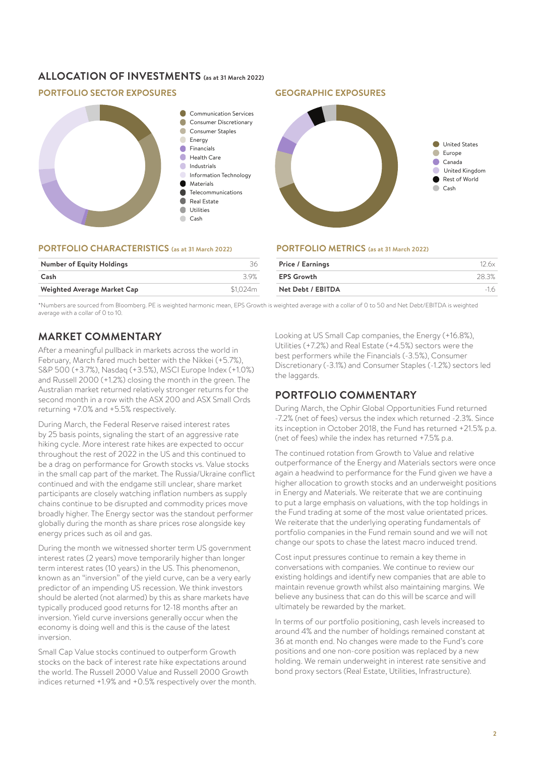# **ALLOCATION OF INVESTMENTS (as at 31 March 2022)**

# **PORTFOLIO SECTOR EXPOSURES GEOGRAPHIC EXPOSURES**



#### **PORTFOLIO CHARACTERISTICS (as at 31 March 2022)**

| <b>Number of Equity Holdings</b> | 36       |
|----------------------------------|----------|
| Cash                             | -3.9%    |
| Weighted Average Market Cap      | \$1.024m |
|                                  |          |



#### **PORTFOLIO METRICS (as at 31 March 2022)**

| Price / Earnings  | 126x  |
|-------------------|-------|
| <b>EPS Growth</b> | 28.3% |
| Net Debt / EBITDA | $-16$ |
|                   |       |

\*Numbers are sourced from Bloomberg. PE is weighted harmonic mean, EPS Growth is weighted average with a collar of 0 to 50 and Net Debt/EBITDA is weighted average with a collar of 0 to 10.

# **MARKET COMMENTARY**

After a meaningful pullback in markets across the world in February, March fared much better with the Nikkei (+5.7%), S&P 500 (+3.7%), Nasdaq (+3.5%), MSCI Europe Index (+1.0%) and Russell 2000 (+1.2%) closing the month in the green. The Australian market returned relatively stronger returns for the second month in a row with the ASX 200 and ASX Small Ords returning +7.0% and +5.5% respectively.

During March, the Federal Reserve raised interest rates by 25 basis points, signaling the start of an aggressive rate hiking cycle. More interest rate hikes are expected to occur throughout the rest of 2022 in the US and this continued to be a drag on performance for Growth stocks vs. Value stocks in the small cap part of the market. The Russia/Ukraine conflict continued and with the endgame still unclear, share market participants are closely watching inflation numbers as supply chains continue to be disrupted and commodity prices move broadly higher. The Energy sector was the standout performer globally during the month as share prices rose alongside key energy prices such as oil and gas.

During the month we witnessed shorter term US government interest rates (2 years) move temporarily higher than longer term interest rates (10 years) in the US. This phenomenon, known as an "inversion" of the yield curve, can be a very early predictor of an impending US recession. We think investors should be alerted (not alarmed) by this as share markets have typically produced good returns for 12-18 months after an inversion. Yield curve inversions generally occur when the economy is doing well and this is the cause of the latest inversion.

Small Cap Value stocks continued to outperform Growth stocks on the back of interest rate hike expectations around the world. The Russell 2000 Value and Russell 2000 Growth indices returned +1.9% and +0.5% respectively over the month. Looking at US Small Cap companies, the Energy (+16.8%), Utilities (+7.2%) and Real Estate (+4.5%) sectors were the best performers while the Financials (-3.5%), Consumer Discretionary (-3.1%) and Consumer Staples (-1.2%) sectors led the laggards.

# **PORTFOLIO COMMENTARY**

During March, the Ophir Global Opportunities Fund returned -7.2% (net of fees) versus the index which returned -2.3%. Since its inception in October 2018, the Fund has returned +21.5% p.a. (net of fees) while the index has returned +7.5% p.a.

The continued rotation from Growth to Value and relative outperformance of the Energy and Materials sectors were once again a headwind to performance for the Fund given we have a higher allocation to growth stocks and an underweight positions in Energy and Materials. We reiterate that we are continuing to put a large emphasis on valuations, with the top holdings in the Fund trading at some of the most value orientated prices. We reiterate that the underlying operating fundamentals of portfolio companies in the Fund remain sound and we will not change our spots to chase the latest macro induced trend.

Cost input pressures continue to remain a key theme in conversations with companies. We continue to review our existing holdings and identify new companies that are able to maintain revenue growth whilst also maintaining margins. We believe any business that can do this will be scarce and will ultimately be rewarded by the market.

In terms of our portfolio positioning, cash levels increased to around 4% and the number of holdings remained constant at 36 at month end. No changes were made to the Fund's core positions and one non-core position was replaced by a new holding. We remain underweight in interest rate sensitive and bond proxy sectors (Real Estate, Utilities, Infrastructure).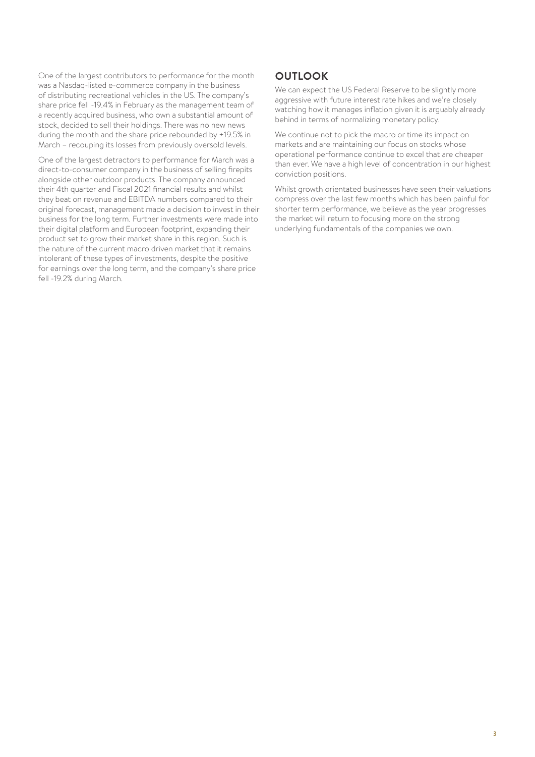One of the largest contributors to performance for the month was a Nasdaq-listed e-commerce company in the business of distributing recreational vehicles in the US. The company's share price fell -19.4% in February as the management team of a recently acquired business, who own a substantial amount of stock, decided to sell their holdings. There was no new news during the month and the share price rebounded by +19.5% in March – recouping its losses from previously oversold levels.

One of the largest detractors to performance for March was a direct-to-consumer company in the business of selling firepits alongside other outdoor products. The company announced their 4th quarter and Fiscal 2021 financial results and whilst they beat on revenue and EBITDA numbers compared to their original forecast, management made a decision to invest in their business for the long term. Further investments were made into their digital platform and European footprint, expanding their product set to grow their market share in this region. Such is the nature of the current macro driven market that it remains intolerant of these types of investments, despite the positive for earnings over the long term, and the company's share price fell -19.2% during March.

# **OUTLOOK**

We can expect the US Federal Reserve to be slightly more aggressive with future interest rate hikes and we're closely watching how it manages inflation given it is arguably already behind in terms of normalizing monetary policy.

We continue not to pick the macro or time its impact on markets and are maintaining our focus on stocks whose operational performance continue to excel that are cheaper than ever. We have a high level of concentration in our highest conviction positions.

Whilst growth orientated businesses have seen their valuations compress over the last few months which has been painful for shorter term performance, we believe as the year progresses the market will return to focusing more on the strong underlying fundamentals of the companies we own.